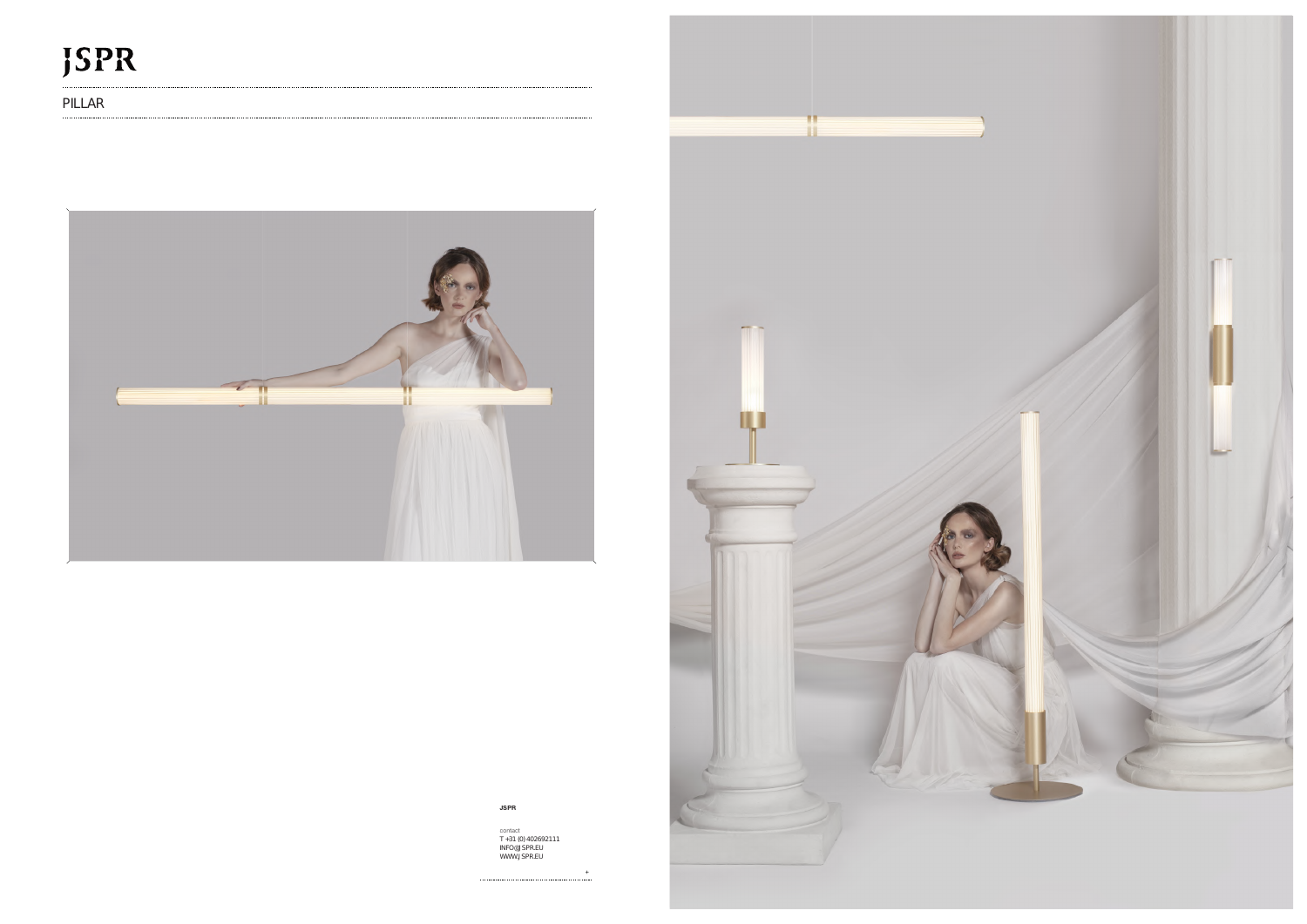## **JSPR**

PILLAR



## **JSPR**

contact T +31 (0) 402692111 INFO@JSPR.EU WWW.JSPR.EU

+